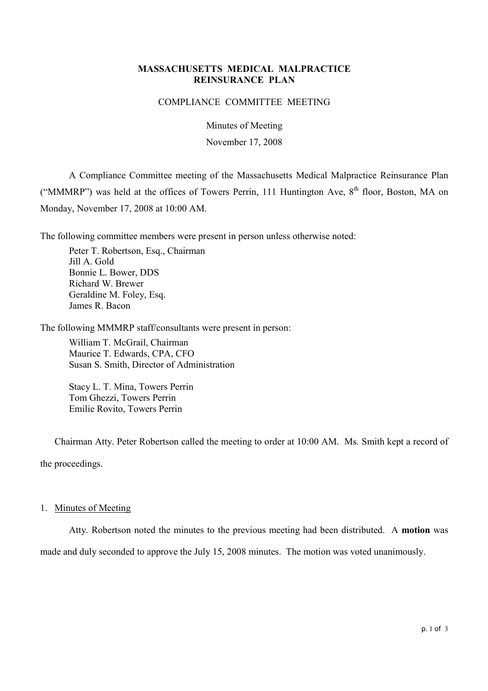# **MASSACHUSETTS MEDICAL MALPRACTICE REINSURANCE PLAN**

### COMPLIANCE COMMITTEE MEETING

Minutes of Meeting

November 17, 2008

A Compliance Committee meeting of the Massachusetts Medical Malpractice Reinsurance Plan ("MMMRP") was held at the offices of Towers Perrin, 111 Huntington Ave,  $8<sup>th</sup>$  floor, Boston, MA on Monday, November 17, 2008 at 10:00 AM.

The following committee members were present in person unless otherwise noted:

Peter T. Robertson, Esq., Chairman Jill A. Gold Bonnie L. Bower, DDS Richard W. Brewer Geraldine M. Foley, Esq. James R. Bacon

The following MMMRP staff/consultants were present in person:

William T. McGrail, Chairman Maurice T. Edwards, CPA, CFO Susan S. Smith, Director of Administration

Stacy L. T. Mina, Towers Perrin Tom Ghezzi, Towers Perrin Emilie Rovito, Towers Perrin

Chairman Atty. Peter Robertson called the meeting to order at 10:00 AM. Ms. Smith kept a record of

the proceedings.

#### 1. Minutes of Meeting

Atty. Robertson noted the minutes to the previous meeting had been distributed. A **motion** was made and duly seconded to approve the July 15, 2008 minutes. The motion was voted unanimously.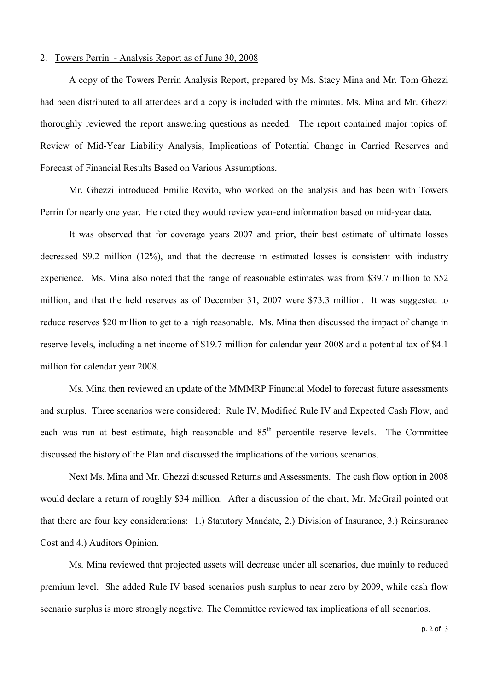#### 2. Towers Perrin - Analysis Report as of June 30, 2008

A copy of the Towers Perrin Analysis Report, prepared by Ms. Stacy Mina and Mr. Tom Ghezzi had been distributed to all attendees and a copy is included with the minutes. Ms. Mina and Mr. Ghezzi thoroughly reviewed the report answering questions as needed. The report contained major topics of: Review of Mid-Year Liability Analysis; Implications of Potential Change in Carried Reserves and Forecast of Financial Results Based on Various Assumptions.

Mr. Ghezzi introduced Emilie Rovito, who worked on the analysis and has been with Towers Perrin for nearly one year. He noted they would review year-end information based on mid-year data.

It was observed that for coverage years 2007 and prior, their best estimate of ultimate losses decreased \$9.2 million (12%), and that the decrease in estimated losses is consistent with industry experience. Ms. Mina also noted that the range of reasonable estimates was from \$39.7 million to \$52 million, and that the held reserves as of December 31, 2007 were \$73.3 million. It was suggested to reduce reserves \$20 million to get to a high reasonable. Ms. Mina then discussed the impact of change in reserve levels, including a net income of \$19.7 million for calendar year 2008 and a potential tax of \$4.1 million for calendar year 2008.

Ms. Mina then reviewed an update of the MMMRP Financial Model to forecast future assessments and surplus. Three scenarios were considered: Rule IV, Modified Rule IV and Expected Cash Flow, and each was run at best estimate, high reasonable and 85<sup>th</sup> percentile reserve levels. The Committee discussed the history of the Plan and discussed the implications of the various scenarios.

Next Ms. Mina and Mr. Ghezzi discussed Returns and Assessments. The cash flow option in 2008 would declare a return of roughly \$34 million. After a discussion of the chart, Mr. McGrail pointed out that there are four key considerations: 1.) Statutory Mandate, 2.) Division of Insurance, 3.) Reinsurance Cost and 4.) Auditors Opinion.

Ms. Mina reviewed that projected assets will decrease under all scenarios, due mainly to reduced premium level. She added Rule IV based scenarios push surplus to near zero by 2009, while cash flow scenario surplus is more strongly negative. The Committee reviewed tax implications of all scenarios.